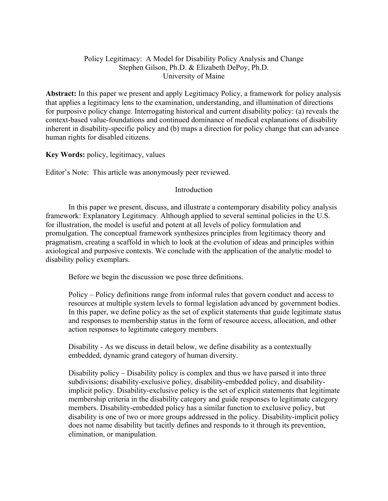# Policy Legitimacy: A Model for Disability Policy Analysis and Change Stephen Gilson, Ph.D. & Elizabeth DePoy, Ph.D. University of Maine

**Abstract:** In this paper we present and apply Legitimacy Policy, a framework for policy analysis that applies a legitimacy lens to the examination, understanding, and illumination of directions for purposive policy change. Interrogating historical and current disability policy: (a) reveals the context-based value-foundations and continued dominance of medical explanations of disability inherent in disability-specific policy and (b) maps a direction for policy change that can advance human rights for disabled citizens.

**Key Words:** policy, legitimacy, values

Editor's Note: This article was anonymously peer reviewed.

## Introduction

In this paper we present, discuss, and illustrate a contemporary disability policy analysis framework: Explanatory Legitimacy. Although applied to several seminal policies in the U.S. for illustration, the model is useful and potent at all levels of policy formulation and promulgation. The conceptual framework synthesizes principles from legitimacy theory and pragmatism, creating a scaffold in which to look at the evolution of ideas and principles within axiological and purposive contexts. We conclude with the application of the analytic model to disability policy exemplars.

Before we begin the discussion we pose three definitions.

Policy – Policy definitions range from informal rules that govern conduct and access to resources at multiple system levels to formal legislation advanced by government bodies. In this paper, we define policy as the set of explicit statements that guide legitimate status and responses to membership status in the form of resource access, allocation, and other action responses to legitimate category members.

Disability - As we discuss in detail below, we define disability as a contextually embedded, dynamic grand category of human diversity.

Disability policy – Disability policy is complex and thus we have parsed it into three subdivisions; disability-exclusive policy, disability-embedded policy, and disabilityimplicit policy. Disability-exclusive policy is the set of explicit statements that legitimate membership criteria in the disability category and guide responses to legitimate category members. Disability-embedded policy has a similar function to exclusive policy, but disability is one of two or more groups addressed in the policy. Disability-implicit policy does not name disability but tacitly defines and responds to it through its prevention, elimination, or manipulation.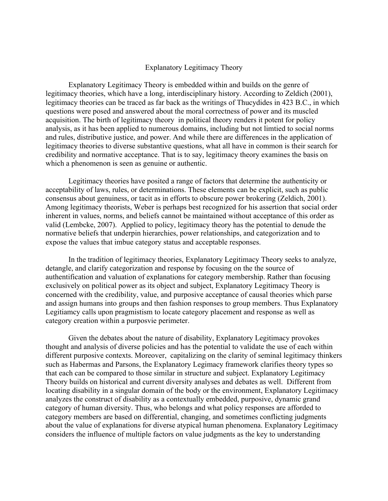## Explanatory Legitimacy Theory

Explanatory Legitimacy Theory is embedded within and builds on the genre of legitimacy theories, which have a long, interdisciplinary history. According to Zeldich (2001), legitimacy theories can be traced as far back as the writings of Thucydides in 423 B.C., in which questions were posed and answered about the moral correctness of power and its muscled acquisition. The birth of legitimacy theory in political theory renders it potent for policy analysis, as it has been applied to numerous domains, including but not limtied to social norms and rules, distributive justice, and power. And while there are differences in the application of legitimacy theories to diverse substantive questions, what all have in common is their search for credibility and normative acceptance. That is to say, legitimacy theory examines the basis on which a phenomenon is seen as genuine or authentic.

Legitimacy theories have posited a range of factors that determine the authenticity or acceptability of laws, rules, or determinations. These elements can be explicit, such as public consensus about genuiness, or tacit as in efforts to obscure power brokering (Zeldich, 2001). Among legitimacy theorists, Weber is perhaps best recognized for his assertion that social order inherent in values, norms, and beliefs cannot be maintained without acceptance of this order as valid (Lembcke, 2007). Applied to policy, legitimacy theory has the potential to denude the normative beliefs that underpin hierarchies, power relationships, and categorization and to expose the values that imbue category status and acceptable responses.

In the tradition of legitimacy theories, Explanatory Legitimacy Theory seeks to analyze, detangle, and clarify categorization and response by focusing on the the source of authentification and valuation of explanations for category membership. Rather than focusing exclusively on political power as its object and subject, Explanatory Legitimacy Theory is concerned with the credibility, value, and purposive acceptance of causal theories which parse and assign humans into groups and then fashion responses to group members. Thus Explanatory Legitiamcy calls upon pragmistism to locate category placement and response as well as category creation within a purposvie perimeter.

Given the debates about the nature of disability, Explanatory Legitimacy provokes thought and analysis of diverse policies and has the potential to validate the use of each within different purposive contexts. Moreover, capitalizing on the clarity of seminal legitimacy thinkers such as Habermas and Parsons, the Explanatory Legimacy framework clarifies theory types so that each can be compared to those similar in structure and subject. Explanatory Legitimacy Theory builds on historical and current diversity analyses and debates as well. Different from locating disability in a singular domain of the body or the environment, Explanatory Legitimacy analyzes the construct of disability as a contextually embedded, purposive, dynamic grand category of human diversity. Thus, who belongs and what policy responses are afforded to category members are based on differential, changing, and sometimes conflicting judgments about the value of explanations for diverse atypical human phenomena. Explanatory Legitimacy considers the influence of multiple factors on value judgments as the key to understanding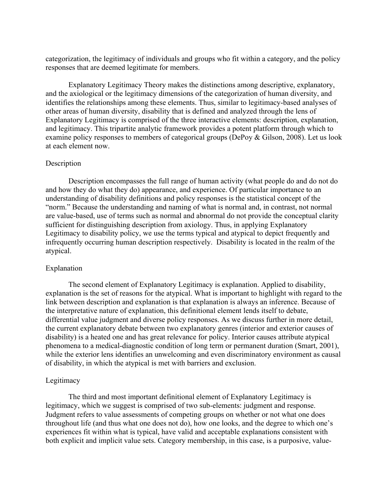categorization, the legitimacy of individuals and groups who fit within a category, and the policy responses that are deemed legitimate for members.

Explanatory Legitimacy Theory makes the distinctions among descriptive, explanatory, and the axiological or the legitimacy dimensions of the categorization of human diversity, and identifies the relationships among these elements. Thus, similar to legitimacy-based analyses of other areas of human diversity, disability that is defined and analyzed through the lens of Explanatory Legitimacy is comprised of the three interactive elements: description, explanation, and legitimacy. This tripartite analytic framework provides a potent platform through which to examine policy responses to members of categorical groups (DePoy & Gilson, 2008). Let us look at each element now.

### Description

Description encompasses the full range of human activity (what people do and do not do and how they do what they do) appearance, and experience. Of particular importance to an understanding of disability definitions and policy responses is the statistical concept of the "norm." Because the understanding and naming of what is normal and, in contrast, not normal are value-based, use of terms such as normal and abnormal do not provide the conceptual clarity sufficient for distinguishing description from axiology. Thus, in applying Explanatory Legitimacy to disability policy, we use the terms typical and atypical to depict frequently and infrequently occurring human description respectively. Disability is located in the realm of the atypical.

#### Explanation

The second element of Explanatory Legitimacy is explanation. Applied to disability, explanation is the set of reasons for the atypical. What is important to highlight with regard to the link between description and explanation is that explanation is always an inference. Because of the interpretative nature of explanation, this definitional element lends itself to debate, differential value judgment and diverse policy responses. As we discuss further in more detail, the current explanatory debate between two explanatory genres (interior and exterior causes of disability) is a heated one and has great relevance for policy. Interior causes attribute atypical phenomena to a medical-diagnostic condition of long term or permanent duration (Smart, 2001), while the exterior lens identifies an unwelcoming and even discriminatory environment as causal of disability, in which the atypical is met with barriers and exclusion.

## Legitimacy

The third and most important definitional element of Explanatory Legitimacy is legitimacy, which we suggest is comprised of two sub-elements: judgment and response. Judgment refers to value assessments of competing groups on whether or not what one does throughout life (and thus what one does not do), how one looks, and the degree to which one's experiences fit within what is typical, have valid and acceptable explanations consistent with both explicit and implicit value sets. Category membership, in this case, is a purposive, value